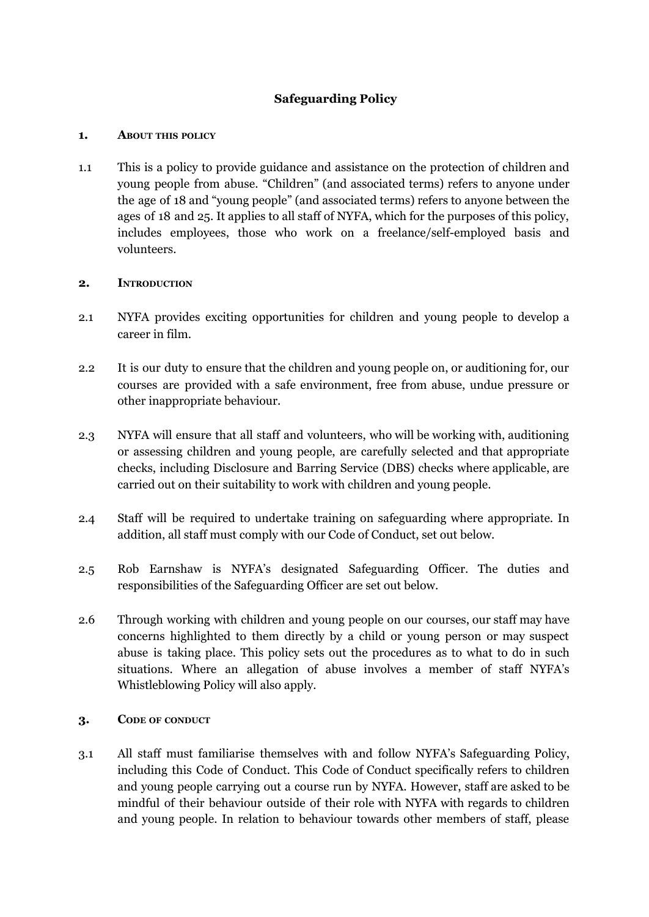# **Safeguarding Policy**

### **1. ABOUT THIS POLICY**

1.1 This is a policy to provide guidance and assistance on the protection of children and young people from abuse. "Children" (and associated terms) refers to anyone under the age of 18 and "young people" (and associated terms) refers to anyone between the ages of 18 and 25. It applies to all staff of NYFA, which for the purposes of this policy, includes employees, those who work on a freelance/self-employed basis and volunteers.

## **2. INTRODUCTION**

- 2.1 NYFA provides exciting opportunities for children and young people to develop a career in film.
- 2.2 It is our duty to ensure that the children and young people on, or auditioning for, our courses are provided with a safe environment, free from abuse, undue pressure or other inappropriate behaviour.
- 2.3 NYFA will ensure that all staff and volunteers, who will be working with, auditioning or assessing children and young people, are carefully selected and that appropriate checks, including Disclosure and Barring Service (DBS) checks where applicable, are carried out on their suitability to work with children and young people.
- 2.4 Staff will be required to undertake training on safeguarding where appropriate. In addition, all staff must comply with our Code of Conduct, set out below.
- 2.5 Rob Earnshaw is NYFA's designated Safeguarding Officer. The duties and responsibilities of the Safeguarding Officer are set out below.
- 2.6 Through working with children and young people on our courses, our staff may have concerns highlighted to them directly by a child or young person or may suspect abuse is taking place. This policy sets out the procedures as to what to do in such situations. Where an allegation of abuse involves a member of staff NYFA's Whistleblowing Policy will also apply.

#### **3. CODE OF CONDUCT**

3.1 All staff must familiarise themselves with and follow NYFA's Safeguarding Policy, including this Code of Conduct. This Code of Conduct specifically refers to children and young people carrying out a course run by NYFA. However, staff are asked to be mindful of their behaviour outside of their role with NYFA with regards to children and young people. In relation to behaviour towards other members of staff, please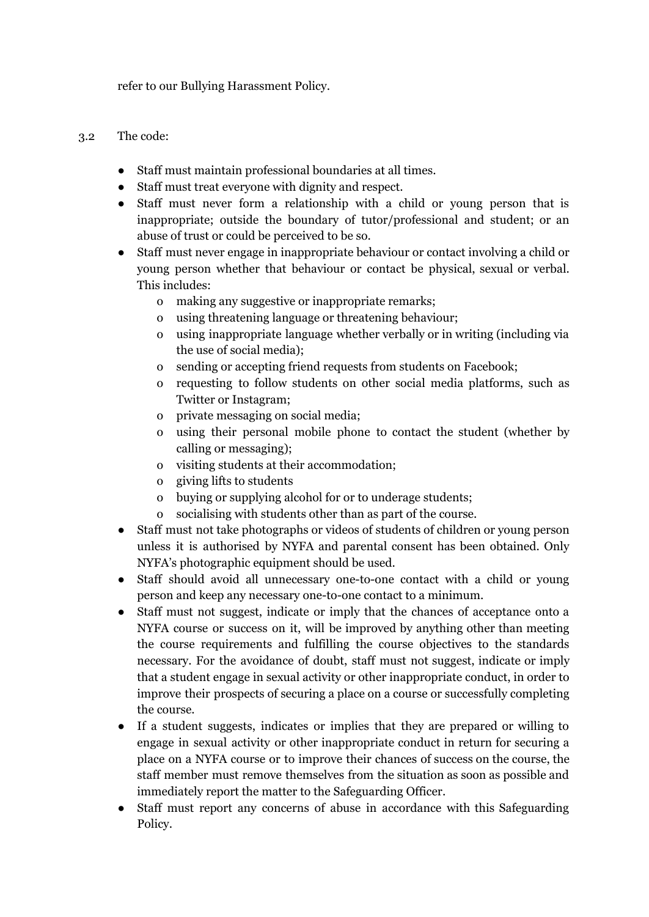refer to our Bullying Harassment Policy.

## 3.2 The code:

- Staff must maintain professional boundaries at all times.
- Staff must treat everyone with dignity and respect.
- Staff must never form a relationship with a child or young person that is inappropriate; outside the boundary of tutor/professional and student; or an abuse of trust or could be perceived to be so.
- Staff must never engage in inappropriate behaviour or contact involving a child or young person whether that behaviour or contact be physical, sexual or verbal. This includes:
	- o making any suggestive or inappropriate remarks;
	- o using threatening language or threatening behaviour;
	- o using inappropriate language whether verbally or in writing (including via the use of social media);
	- o sending or accepting friend requests from students on Facebook;
	- o requesting to follow students on other social media platforms, such as Twitter or Instagram;
	- o private messaging on social media;
	- o using their personal mobile phone to contact the student (whether by calling or messaging);
	- o visiting students at their accommodation;
	- o giving lifts to students
	- o buying or supplying alcohol for or to underage students;
	- o socialising with students other than as part of the course.
- Staff must not take photographs or videos of students of children or young person unless it is authorised by NYFA and parental consent has been obtained. Only NYFA's photographic equipment should be used.
- Staff should avoid all unnecessary one-to-one contact with a child or young person and keep any necessary one-to-one contact to a minimum.
- Staff must not suggest, indicate or imply that the chances of acceptance onto a NYFA course or success on it, will be improved by anything other than meeting the course requirements and fulfilling the course objectives to the standards necessary. For the avoidance of doubt, staff must not suggest, indicate or imply that a student engage in sexual activity or other inappropriate conduct, in order to improve their prospects of securing a place on a course or successfully completing the course.
- If a student suggests, indicates or implies that they are prepared or willing to engage in sexual activity or other inappropriate conduct in return for securing a place on a NYFA course or to improve their chances of success on the course, the staff member must remove themselves from the situation as soon as possible and immediately report the matter to the Safeguarding Officer.
- Staff must report any concerns of abuse in accordance with this Safeguarding Policy.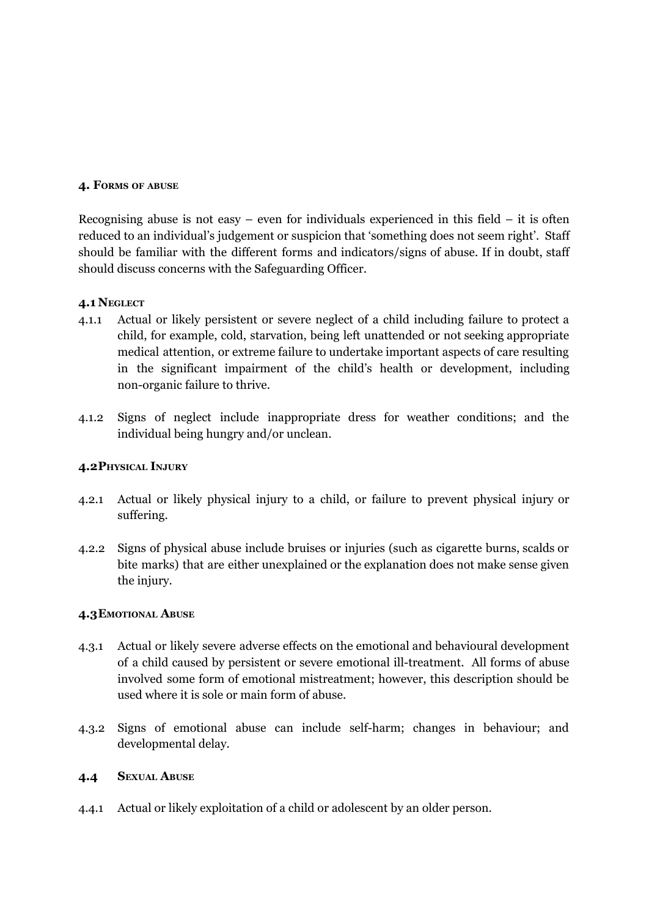#### **4. FORMS OF ABUSE**

Recognising abuse is not easy – even for individuals experienced in this field – it is often reduced to an individual's judgement or suspicion that 'something does not seem right'. Staff should be familiar with the different forms and indicators/signs of abuse. If in doubt, staff should discuss concerns with the Safeguarding Officer.

#### **4.1 NEGLECT**

- 4.1.1 Actual or likely persistent or severe neglect of a child including failure to protect a child, for example, cold, starvation, being left unattended or not seeking appropriate medical attention, or extreme failure to undertake important aspects of care resulting in the significant impairment of the child's health or development, including non-organic failure to thrive.
- 4.1.2 Signs of neglect include inappropriate dress for weather conditions; and the individual being hungry and/or unclean.

#### **4.2PHYSICAL INJURY**

- 4.2.1 Actual or likely physical injury to a child, or failure to prevent physical injury or suffering.
- 4.2.2 Signs of physical abuse include bruises or injuries (such as cigarette burns, scalds or bite marks) that are either unexplained or the explanation does not make sense given the injury.

#### **4.3EMOTIONAL ABUSE**

- 4.3.1 Actual or likely severe adverse effects on the emotional and behavioural development of a child caused by persistent or severe emotional ill-treatment. All forms of abuse involved some form of emotional mistreatment; however, this description should be used where it is sole or main form of abuse.
- 4.3.2 Signs of emotional abuse can include self-harm; changes in behaviour; and developmental delay.

#### **4.4 SEXUAL ABUSE**

4.4.1 Actual or likely exploitation of a child or adolescent by an older person.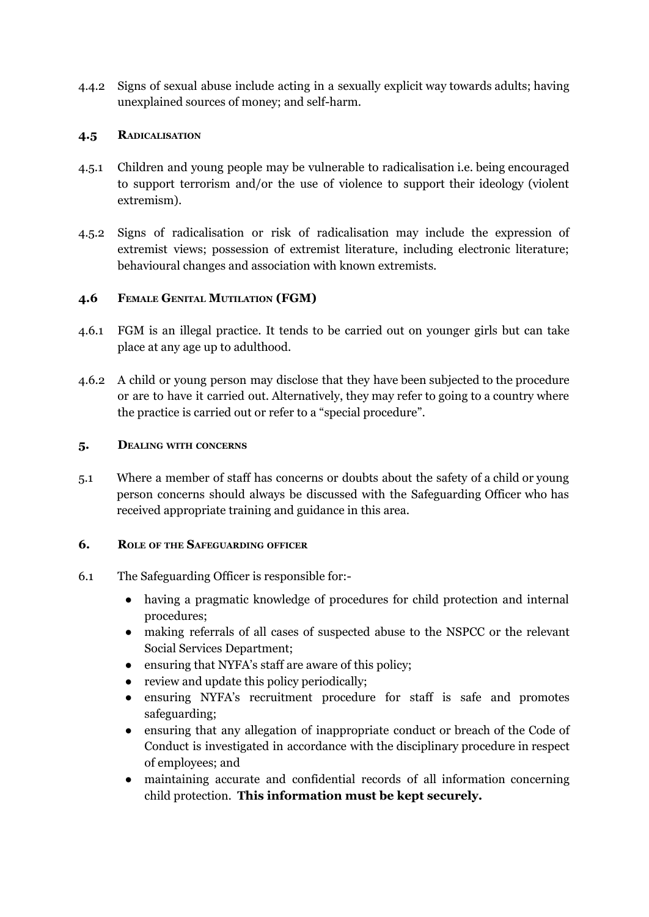4.4.2 Signs of sexual abuse include acting in a sexually explicit way towards adults; having unexplained sources of money; and self-harm.

## **4.5 RADICALISATION**

- 4.5.1 Children and young people may be vulnerable to radicalisation i.e. being encouraged to support terrorism and/or the use of violence to support their ideology (violent extremism).
- 4.5.2 Signs of radicalisation or risk of radicalisation may include the expression of extremist views; possession of extremist literature, including electronic literature; behavioural changes and association with known extremists.

## **4.6 FEMALE GENITAL MUTILATION (FGM)**

- 4.6.1 FGM is an illegal practice. It tends to be carried out on younger girls but can take place at any age up to adulthood.
- 4.6.2 A child or young person may disclose that they have been subjected to the procedure or are to have it carried out. Alternatively, they may refer to going to a country where the practice is carried out or refer to a "special procedure".

#### **5. DEALING WITH CONCERNS**

5.1 Where a member of staff has concerns or doubts about the safety of a child or young person concerns should always be discussed with the Safeguarding Officer who has received appropriate training and guidance in this area.

#### **6. ROLE OF THE SAFEGUARDING OFFICER**

- 6.1 The Safeguarding Officer is responsible for:-
	- having a pragmatic knowledge of procedures for child protection and internal procedures;
	- making referrals of all cases of suspected abuse to the NSPCC or the relevant Social Services Department;
	- ensuring that NYFA's staff are aware of this policy;
	- review and update this policy periodically;
	- ensuring NYFA's recruitment procedure for staff is safe and promotes safeguarding;
	- ensuring that any allegation of inappropriate conduct or breach of the Code of Conduct is investigated in accordance with the disciplinary procedure in respect of employees; and
	- maintaining accurate and confidential records of all information concerning child protection. **This information must be kept securely.**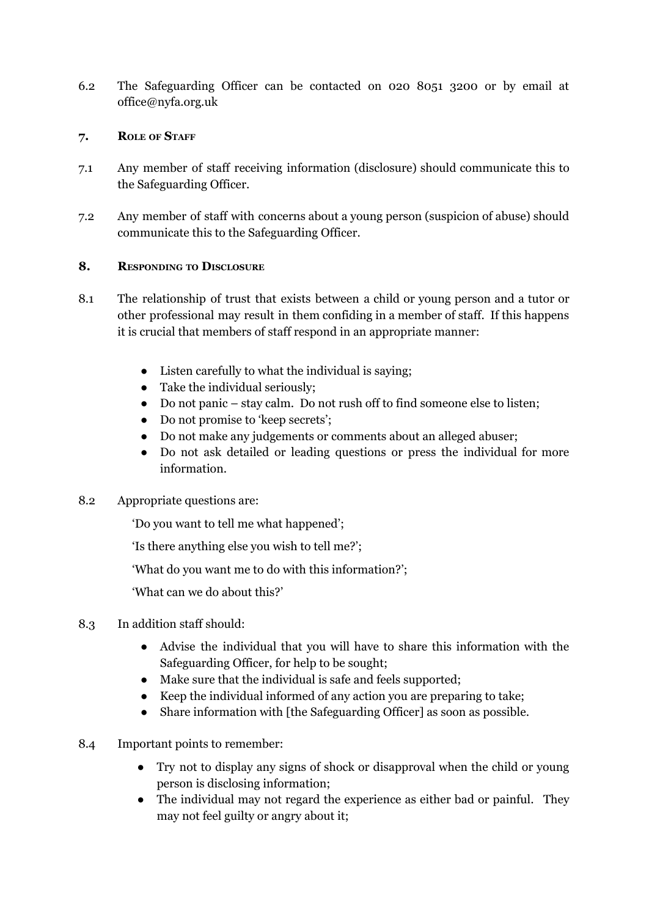6.2 The Safeguarding Officer can be contacted on 020 8051 3200 or by email at office@nyfa.org.uk

## **7. ROLE OF STAFF**

- 7.1 Any member of staff receiving information (disclosure) should communicate this to the Safeguarding Officer.
- 7.2 Any member of staff with concerns about a young person (suspicion of abuse) should communicate this to the Safeguarding Officer.

## **8. RESPONDING TO DISCLOSURE**

- 8.1 The relationship of trust that exists between a child or young person and a tutor or other professional may result in them confiding in a member of staff. If this happens it is crucial that members of staff respond in an appropriate manner:
	- Listen carefully to what the individual is saying;
	- Take the individual seriously;
	- Do not panic stay calm. Do not rush off to find someone else to listen;
	- Do not promise to 'keep secrets';
	- Do not make any judgements or comments about an alleged abuser;
	- Do not ask detailed or leading questions or press the individual for more information.

# 8.2 Appropriate questions are:

'Do you want to tell me what happened';

'Is there anything else you wish to tell me?';

'What do you want me to do with this information?';

'What can we do about this?'

# 8.3 In addition staff should:

- Advise the individual that you will have to share this information with the Safeguarding Officer, for help to be sought;
- Make sure that the individual is safe and feels supported;
- Keep the individual informed of any action you are preparing to take;
- Share information with [the Safeguarding Officer] as soon as possible.
- 8.4 Important points to remember:
	- Try not to display any signs of shock or disapproval when the child or young person is disclosing information;
	- The individual may not regard the experience as either bad or painful. They may not feel guilty or angry about it;